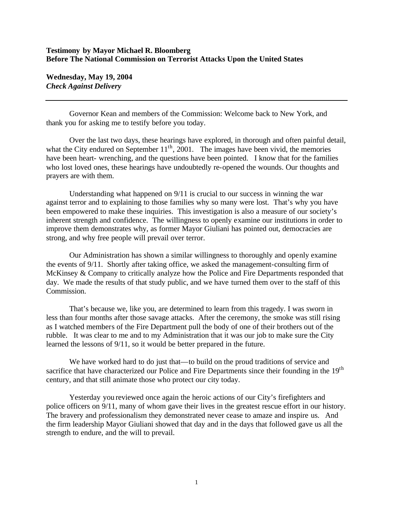## **Testimony by Mayor Michael R. Bloomberg Before The National Commission on Terrorist Attacks Upon the United States**

**Wednesday, May 19, 2004** *Check Against Delivery*

Governor Kean and members of the Commission: Welcome back to New York, and thank you for asking me to testify before you today.

Over the last two days, these hearings have explored, in thorough and often painful detail, what the City endured on September  $11<sup>th</sup>$ , 2001. The images have been vivid, the memories have been heart- wrenching, and the questions have been pointed. I know that for the families who lost loved ones, these hearings have undoubtedly re-opened the wounds. Our thoughts and prayers are with them.

Understanding what happened on 9/11 is crucial to our success in winning the war against terror and to explaining to those families why so many were lost. That's why you have been empowered to make these inquiries. This investigation is also a measure of our society's inherent strength and confidence. The willingness to openly examine our institutions in order to improve them demonstrates why, as former Mayor Giuliani has pointed out, democracies are strong, and why free people will prevail over terror.

Our Administration has shown a similar willingness to thoroughly and openly examine the events of 9/11. Shortly after taking office, we asked the management-consulting firm of McKinsey & Company to critically analyze how the Police and Fire Departments responded that day. We made the results of that study public, and we have turned them over to the staff of this Commission.

That's because we, like you, are determined to learn from this tragedy. I was sworn in less than four months after those savage attacks. After the ceremony, the smoke was still rising as I watched members of the Fire Department pull the body of one of their brothers out of the rubble. It was clear to me and to my Administration that it was our job to make sure the City learned the lessons of 9/11, so it would be better prepared in the future.

We have worked hard to do just that—to build on the proud traditions of service and sacrifice that have characterized our Police and Fire Departments since their founding in the 19<sup>th</sup> century, and that still animate those who protect our city today.

Yesterday you reviewed once again the heroic actions of our City's firefighters and police officers on 9/11, many of whom gave their lives in the greatest rescue effort in our history. The bravery and professionalism they demonstrated never cease to amaze and inspire us. And the firm leadership Mayor Giuliani showed that day and in the days that followed gave us all the strength to endure, and the will to prevail.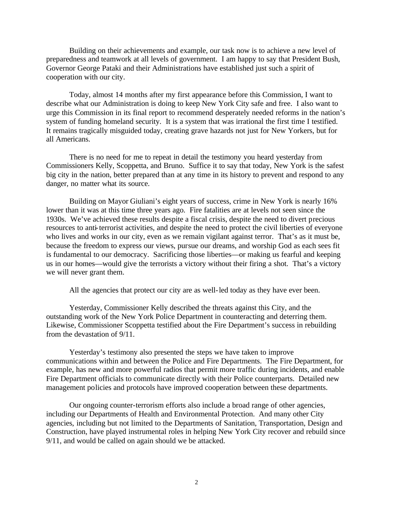Building on their achievements and example, our task now is to achieve a new level of preparedness and teamwork at all levels of government. I am happy to say that President Bush, Governor George Pataki and their Administrations have established just such a spirit of cooperation with our city.

Today, almost 14 months after my first appearance before this Commission, I want to describe what our Administration is doing to keep New York City safe and free. I also want to urge this Commission in its final report to recommend desperately needed reforms in the nation's system of funding homeland security. It is a system that was irrational the first time I testified. It remains tragically misguided today, creating grave hazards not just for New Yorkers, but for all Americans.

There is no need for me to repeat in detail the testimony you heard yesterday from Commissioners Kelly, Scoppetta, and Bruno. Suffice it to say that today, New York is the safest big city in the nation, better prepared than at any time in its history to prevent and respond to any danger, no matter what its source.

Building on Mayor Giuliani's eight years of success, crime in New York is nearly 16% lower than it was at this time three years ago. Fire fatalities are at levels not seen since the 1930s. We've achieved these results despite a fiscal crisis, despite the need to divert precious resources to anti-terrorist activities, and despite the need to protect the civil liberties of everyone who lives and works in our city, even as we remain vigilant against terror. That's as it must be, because the freedom to express our views, pursue our dreams, and worship God as each sees fit is fundamental to our democracy. Sacrificing those liberties—or making us fearful and keeping us in our homes—would give the terrorists a victory without their firing a shot. That's a victory we will never grant them.

All the agencies that protect our city are as well-led today as they have ever been.

Yesterday, Commissioner Kelly described the threats against this City, and the outstanding work of the New York Police Department in counteracting and deterring them. Likewise, Commissioner Scoppetta testified about the Fire Department's success in rebuilding from the devastation of 9/11.

Yesterday's testimony also presented the steps we have taken to improve communications within and between the Police and Fire Departments. The Fire Department, for example, has new and more powerful radios that permit more traffic during incidents, and enable Fire Department officials to communicate directly with their Police counterparts. Detailed new management policies and protocols have improved cooperation between these departments.

Our ongoing counter-terrorism efforts also include a broad range of other agencies, including our Departments of Health and Environmental Protection. And many other City agencies, including but not limited to the Departments of Sanitation, Transportation, Design and Construction, have played instrumental roles in helping New York City recover and rebuild since 9/11, and would be called on again should we be attacked.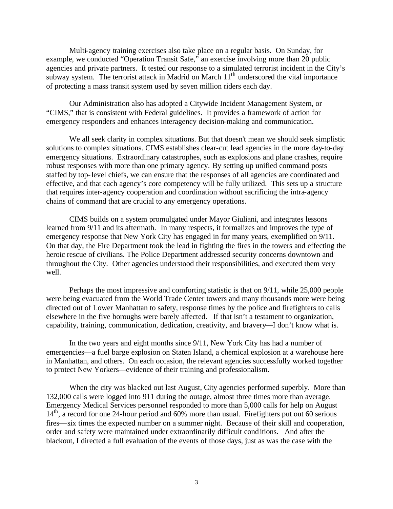Multi-agency training exercises also take place on a regular basis. On Sunday, for example, we conducted "Operation Transit Safe," an exercise involving more than 20 public agencies and private partners. It tested our response to a simulated terrorist incident in the City's subway system. The terrorist attack in Madrid on March  $11<sup>th</sup>$  underscored the vital importance of protecting a mass transit system used by seven million riders each day.

Our Administration also has adopted a Citywide Incident Management System, or "CIMS," that is consistent with Federal guidelines. It provides a framework of action for emergency responders and enhances interagency decision-making and communication.

We all seek clarity in complex situations. But that doesn't mean we should seek simplistic solutions to complex situations. CIMS establishes clear-cut lead agencies in the more day-to-day emergency situations. Extraordinary catastrophes, such as explosions and plane crashes, require robust responses with more than one primary agency. By setting up unified command posts staffed by top-level chiefs, we can ensure that the responses of all agencies are coordinated and effective, and that each agency's core competency will be fully utilized. This sets up a structure that requires inter-agency cooperation and coordination without sacrificing the intra-agency chains of command that are crucial to any emergency operations.

CIMS builds on a system promulgated under Mayor Giuliani, and integrates lessons learned from 9/11 and its aftermath. In many respects, it formalizes and improves the type of emergency response that New York City has engaged in for many years, exemplified on 9/11. On that day, the Fire Department took the lead in fighting the fires in the towers and effecting the heroic rescue of civilians. The Police Department addressed security concerns downtown and throughout the City. Other agencies understood their responsibilities, and executed them very well.

Perhaps the most impressive and comforting statistic is that on 9/11, while 25,000 people were being evacuated from the World Trade Center towers and many thousands more were being directed out of Lower Manhattan to safety, response times by the police and firefighters to calls elsewhere in the five boroughs were barely affected. If that isn't a testament to organization, capability, training, communication, dedication, creativity, and bravery—I don't know what is.

In the two years and eight months since 9/11, New York City has had a number of emergencies—a fuel barge explosion on Staten Island, a chemical explosion at a warehouse here in Manhattan, and others. On each occasion, the relevant agencies successfully worked together to protect New Yorkers—evidence of their training and professionalism.

When the city was blacked out last August, City agencies performed superbly. More than 132,000 calls were logged into 911 during the outage, almost three times more than average. Emergency Medical Services personnel responded to more than 5,000 calls for help on August 14<sup>th</sup>, a record for one 24-hour period and 60% more than usual. Firefighters put out 60 serious fires—six times the expected number on a summer night. Because of their skill and cooperation, order and safety were maintained under extraordinarily difficult conditions. And after the blackout, I directed a full evaluation of the events of those days, just as was the case with the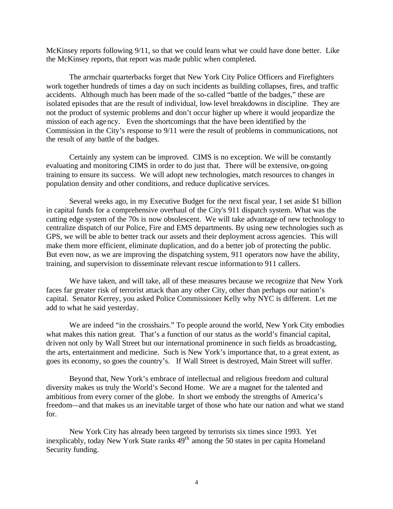McKinsey reports following 9/11, so that we could learn what we could have done better. Like the McKinsey reports, that report was made public when completed.

The armchair quarterbacks forget that New York City Police Officers and Firefighters work together hundreds of times a day on such incidents as building collapses, fires, and traffic accidents. Although much has been made of the so-called "battle of the badges," these are isolated episodes that are the result of individual, low-level breakdowns in discipline. They are not the product of systemic problems and don't occur higher up where it would jeopardize the mission of each agency. Even the shortcomings that the have been identified by the Commission in the City's response to 9/11 were the result of problems in communications, not the result of any battle of the badges.

Certainly any system can be improved. CIMS is no exception. We will be constantly evaluating and monitoring CIMS in order to do just that. There will be extensive, on-going training to ensure its success. We will adopt new technologies, match resources to changes in population density and other conditions, and reduce duplicative services.

Several weeks ago, in my Executive Budget for the next fiscal year, I set aside \$1 billion in capital funds for a comprehensive overhaul of the City's 911 dispatch system. What was the cutting edge system of the 70s is now obsolescent. We will take advantage of new technology to centralize dispatch of our Police, Fire and EMS departments. By using new technologies such as GPS, we will be able to better track our assets and their deployment across agencies. This will make them more efficient, eliminate duplication, and do a better job of protecting the public. But even now, as we are improving the dispatching system, 911 operators now have the ability, training, and supervision to disseminate relevant rescue information to 911 callers.

We have taken, and will take, all of these measures because we recognize that New York faces far greater risk of terrorist attack than any other City, other than perhaps our nation's capital. Senator Kerrey, you asked Police Commissioner Kelly why NYC is different. Let me add to what he said yesterday.

We are indeed "in the crosshairs." To people around the world, New York City embodies what makes this nation great. That's a function of our status as the world's financial capital, driven not only by Wall Street but our international prominence in such fields as broadcasting, the arts, entertainment and medicine. Such is New York's importance that, to a great extent, as goes its economy, so goes the country's. If Wall Street is destroyed, Main Street will suffer.

Beyond that, New York's embrace of intellectual and religious freedom and cultural diversity makes us truly the World's Second Home. We are a magnet for the talented and ambitious from every corner of the globe. In short we embody the strengths of America's freedom—and that makes us an inevitable target of those who hate our nation and what we stand for.

New York City has already been targeted by terrorists six times since 1993. Yet inexplicably, today New York State ranks  $49<sup>th</sup>$  among the 50 states in per capita Homeland Security funding.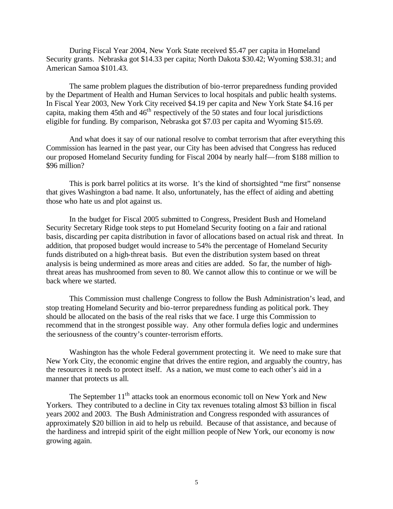During Fiscal Year 2004, New York State received \$5.47 per capita in Homeland Security grants. Nebraska got \$14.33 per capita; North Dakota \$30.42; Wyoming \$38.31; and American Samoa \$101.43.

The same problem plagues the distribution of bio-terror preparedness funding provided by the Department of Health and Human Services to local hospitals and public health systems. In Fiscal Year 2003, New York City received \$4.19 per capita and New York State \$4.16 per capita, making them 45th and  $46<sup>th</sup>$  respectively of the 50 states and four local jurisdictions eligible for funding. By comparison, Nebraska got \$7.03 per capita and Wyoming \$15.69.

And what does it say of our national resolve to combat terrorism that after everything this Commission has learned in the past year, our City has been advised that Congress has reduced our proposed Homeland Security funding for Fiscal 2004 by nearly half—from \$188 million to \$96 million?

This is pork barrel politics at its worse. It's the kind of shortsighted "me first" nonsense that gives Washington a bad name. It also, unfortunately, has the effect of aiding and abetting those who hate us and plot against us.

In the budget for Fiscal 2005 submitted to Congress, President Bush and Homeland Security Secretary Ridge took steps to put Homeland Security footing on a fair and rational basis, discarding per capita distribution in favor of allocations based on actual risk and threat. In addition, that proposed budget would increase to 54% the percentage of Homeland Security funds distributed on a high-threat basis. But even the distribution system based on threat analysis is being undermined as more areas and cities are added. So far, the number of highthreat areas has mushroomed from seven to 80. We cannot allow this to continue or we will be back where we started.

This Commission must challenge Congress to follow the Bush Administration's lead, and stop treating Homeland Security and bio-terror preparedness funding as political pork. They should be allocated on the basis of the real risks that we face. I urge this Commission to recommend that in the strongest possible way. Any other formula defies logic and undermines the seriousness of the country's counter-terrorism efforts.

Washington has the whole Federal government protecting it. We need to make sure that New York City, the economic engine that drives the entire region, and arguably the country, has the resources it needs to protect itself. As a nation, we must come to each other's aid in a manner that protects us all*.*

The September  $11<sup>th</sup>$  attacks took an enormous economic toll on New York and New Yorkers. They contributed to a decline in City tax revenues totaling almost \$3 billion in fiscal years 2002 and 2003. The Bush Administration and Congress responded with assurances of approximately \$20 billion in aid to help us rebuild. Because of that assistance, and because of the hardiness and intrepid spirit of the eight million people of New York, our economy is now growing again.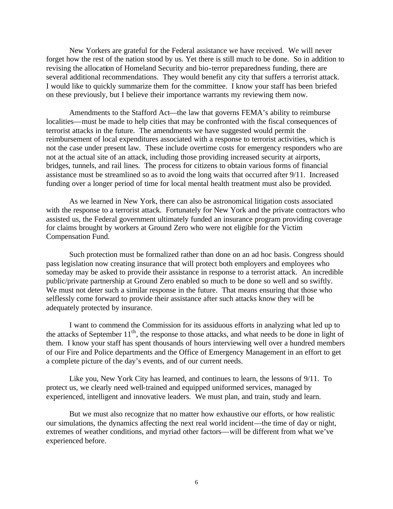New Yorkers are grateful for the Federal assistance we have received. We will never forget how the rest of the nation stood by us. Yet there is still much to be done. So in addition to revising the allocation of Homeland Security and bio-terror preparedness funding, there are several additional recommendations. They would benefit any city that suffers a terrorist attack. I would like to quickly summarize them for the committee. I know your staff has been briefed on these previously, but I believe their importance warrants my reviewing them now.

Amendments to the Stafford Act—the law that governs FEMA's ability to reimburse localities—must be made to help cities that may be confronted with the fiscal consequences of terrorist attacks in the future. The amendments we have suggested would permit the reimbursement of local expenditures associated with a response to terrorist activities, which is not the case under present law. These include overtime costs for emergency responders who are not at the actual site of an attack, including those providing increased security at airports, bridges, tunnels, and rail lines. The process for citizens to obtain various forms of financial assistance must be streamlined so as to avoid the long waits that occurred after 9/11. Increased funding over a longer period of time for local mental health treatment must also be provided.

As we learned in New York, there can also be astronomical litigation costs associated with the response to a terrorist attack. Fortunately for New York and the private contractors who assisted us, the Federal government ultimately funded an insurance program providing coverage for claims brought by workers at Ground Zero who were not eligible for the Victim Compensation Fund.

Such protection must be formalized rather than done on an ad hoc basis. Congress should pass legislation now creating insurance that will protect both employers and employees who someday may be asked to provide their assistance in response to a terrorist attack. An incredible public/private partnership at Ground Zero enabled so much to be done so well and so swiftly. We must not deter such a similar response in the future. That means ensuring that those who selflessly come forward to provide their assistance after such attacks know they will be adequately protected by insurance.

I want to commend the Commission for its assiduous efforts in analyzing what led up to the attacks of September  $11<sup>th</sup>$ , the response to those attacks, and what needs to be done in light of them. I know your staff has spent thousands of hours interviewing well over a hundred members of our Fire and Police departments and the Office of Emergency Management in an effort to get a complete picture of the day's events, and of our current needs.

Like you, New York City has learned, and continues to learn, the lessons of 9/11. To protect us, we clearly need well-trained and equipped uniformed services, managed by experienced, intelligent and innovative leaders. We must plan, and train, study and learn.

But we must also recognize that no matter how exhaustive our efforts, or how realistic our simulations, the dynamics affecting the next real world incident—the time of day or night, extremes of weather conditions, and myriad other factors—will be different from what we've experienced before.